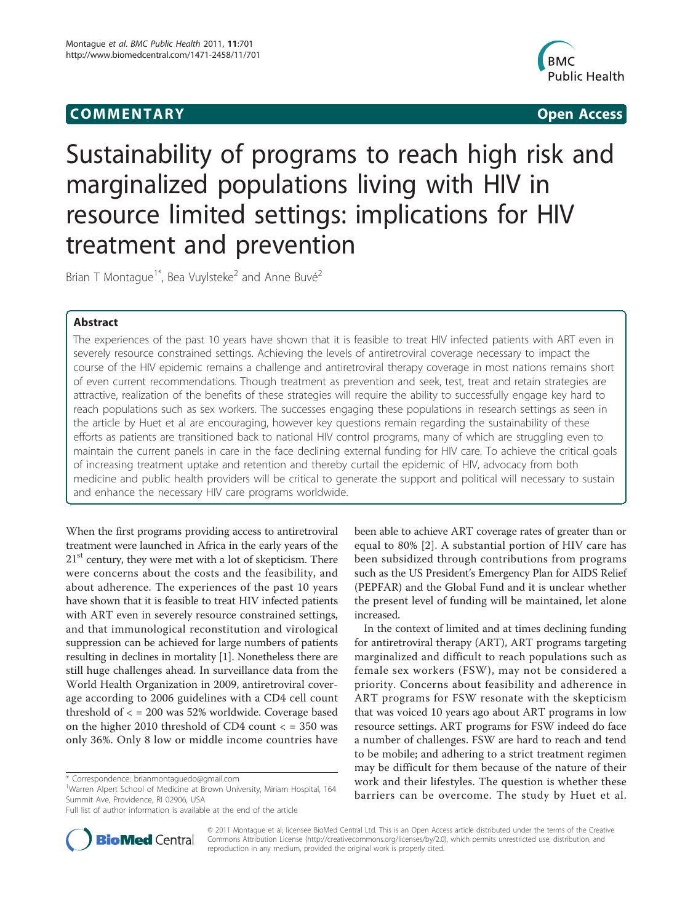# COMM EN TARY Open Access



# Sustainability of programs to reach high risk and marginalized populations living with HIV in resource limited settings: implications for HIV treatment and prevention

Brian T Montague<sup>1\*</sup>, Bea Vuylsteke<sup>2</sup> and Anne Buvé<sup>2</sup>

# Abstract

The experiences of the past 10 years have shown that it is feasible to treat HIV infected patients with ART even in severely resource constrained settings. Achieving the levels of antiretroviral coverage necessary to impact the course of the HIV epidemic remains a challenge and antiretroviral therapy coverage in most nations remains short of even current recommendations. Though treatment as prevention and seek, test, treat and retain strategies are attractive, realization of the benefits of these strategies will require the ability to successfully engage key hard to reach populations such as sex workers. The successes engaging these populations in research settings as seen in the article by Huet et al are encouraging, however key questions remain regarding the sustainability of these efforts as patients are transitioned back to national HIV control programs, many of which are struggling even to maintain the current panels in care in the face declining external funding for HIV care. To achieve the critical goals of increasing treatment uptake and retention and thereby curtail the epidemic of HIV, advocacy from both medicine and public health providers will be critical to generate the support and political will necessary to sustain and enhance the necessary HIV care programs worldwide.

When the first programs providing access to antiretroviral treatment were launched in Africa in the early years of the  $21<sup>st</sup>$  century, they were met with a lot of skepticism. There were concerns about the costs and the feasibility, and about adherence. The experiences of the past 10 years have shown that it is feasible to treat HIV infected patients with ART even in severely resource constrained settings, and that immunological reconstitution and virological suppression can be achieved for large numbers of patients resulting in declines in mortality [\[1](#page-1-0)]. Nonetheless there are still huge challenges ahead. In surveillance data from the World Health Organization in 2009, antiretroviral coverage according to 2006 guidelines with a CD4 cell count threshold of < = 200 was 52% worldwide. Coverage based on the higher 2010 threshold of CD4 count < = 350 was only 36%. Only 8 low or middle income countries have



In the context of limited and at times declining funding for antiretroviral therapy (ART), ART programs targeting marginalized and difficult to reach populations such as female sex workers (FSW), may not be considered a priority. Concerns about feasibility and adherence in ART programs for FSW resonate with the skepticism that was voiced 10 years ago about ART programs in low resource settings. ART programs for FSW indeed do face a number of challenges. FSW are hard to reach and tend to be mobile; and adhering to a strict treatment regimen may be difficult for them because of the nature of their work and their lifestyles. The question is whether these barriers can be overcome. The study by Huet et al.



© 2011 Montague et al; licensee BioMed Central Ltd. This is an Open Access article distributed under the terms of the Creative Commons Attribution License [\(http://creativecommons.org/licenses/by/2.0](http://creativecommons.org/licenses/by/2.0)), which permits unrestricted use, distribution, and reproduction in any medium, provided the original work is properly cited.

<sup>\*</sup> Correspondence: [brianmontaguedo@gmail.com](mailto:brianmontaguedo@gmail.com)

<sup>&</sup>lt;sup>1</sup>Warren Alpert School of Medicine at Brown University, Miriam Hospital, 164 Summit Ave, Providence, RI 02906, USA

Full list of author information is available at the end of the article